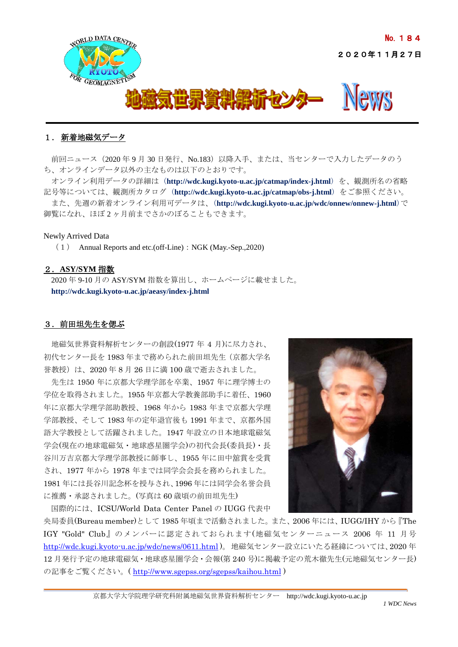

# 1. 新着地磁気データ

前回ニュース (2020年9月 30 日発行、No.183)以降入手、または、当センターで入力したデータのう ち、オンラインデータ以外の主なものは以下のとおりです。

オンライン利用データの詳細は (**<http://wdc.kugi.kyoto-u.ac.jp/catmap/index-j.html>**) を、観測所名の省略 記号等については、観測所カタログ (**<http://wdc.kugi.kyoto-u.ac.jp/catmap/obs-j.html>**) をご参照ください。 また、先週の新着オンライン利用可データは、(**<http://wdc.kugi.kyoto-u.ac.jp/wdc/onnew/onnew-j.html>**)で 御覧になれ、ほぼ 2 ヶ月前までさかのぼることもできます。

### Newly Arrived Data

(1) Annual Reports and etc.(off-Line):NGK (May.-Sep.,2020)

## 2.**ASY/SYM** 指数

2020 年 9-10 月の ASY/SYM 指数を算出し、ホームページに載せました。 **<http://wdc.kugi.kyoto-u.ac.jp/aeasy/index-j.html>**

## 3.前田坦先生を偲ぶ

地磁気世界資料解析センターの創設(1977 年 4 月)に尽力され、 初代センター長を 1983 年まで務められた前田坦先生(京都大学名 誉教授)は、2020 年 8 月 26 日に満 100 歳で逝去されました。

先生は 1950 年に京都大学理学部を卒業、1957 年に理学博士の 学位を取得されました。1955 年京都大学教養部助手に着任、1960 年に京都大学理学部助教授、1968 年から 1983 年まで京都大学理 学部教授、そして 1983 年の定年退官後も 1991 年まで、京都外国 語大学教授として活躍されました。1947 年設立の日本地球電磁気 学会(現在の地球電磁気・地球惑星圏学会)の初代会長(委員長)・長 谷川万吉京都大学理学部教授に師事し、1955 年に田中舘賞を受賞 され、1977 年から 1978 年までは同学会会長を務められました。 1981 年には長谷川記念杯を授与され、1996 年には同学会名誉会員 に推薦・承認されました。(写真は 60 歳頃の前田坦先生)



国際的には、ICSU/World Data Center Panel の IUGG 代表中

央局委員(Bureau member)として 1985 年頃まで活動されました。また、2006 年には、IUGG/IHY から『The IGY "Gold" Club』のメンバーに認定されておられます(地磁気センターニュース 2006 年 11 月号 <http://wdc.kugi.kyoto-u.ac.jp/wdc/news/0611.html> )。地磁気センター設立にいたる経緯については、2020 年 12 月発行予定の地球電磁気・地球惑星圏学会・会報(第 240 号)に掲載予定の荒木徹先生(元地磁気センター長) の記事をご覧ください。( <http://www.sgepss.org/sgepss/kaihou.html> )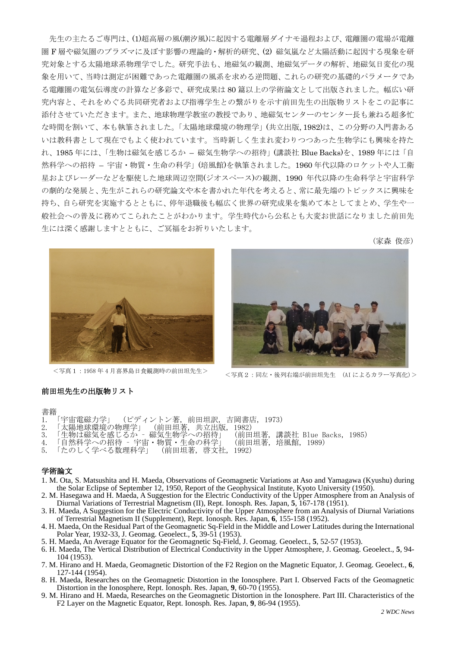先生の主たるご専門は、(1)超高層の風(潮汐風)に起因する電離層ダイナモ過程および、電離圏の電場が電離 圏 F 層や磁気圏のプラズマに及ぼす影響の理論的・解析的研究、(2) 磁気嵐など太陽活動に起因する現象を研 究対象とする太陽地球系物理学でした。研究手法も、地磁気の観測、地磁気データの解析、地磁気日変化の現 象を用いて、当時は測定が困難であった電離圏の風系を求める逆問題、これらの研究の基礎的パラメータであ る電離圏の電気伝導度の計算など多彩で、研究成果は 80 篇以上の学術論文として出版されました。幅広い研 究内容と、それをめぐる共同研究者および指導学生との繋がりを示す前田先生の出版物リストをこの記事に 添付させていただきます。また、地球物理学教室の教授であり、地磁気センターのセンター長も兼ねる超多忙 な時間を割いて、本も執筆されました。「太陽地球環境の物理学」(共立出版, 1982)は、この分野の入門書ある いは教科書として現在でもよく使われています。当時新しく生まれ変わりつつあった生物学にも興味を持た れ、1985 年には、「生物は磁気を感じるか – 磁気生物学への招待」(講談社 Blue Backs)を、1989 年には「自 然科学への招待 – 宇宙・物質・生命の科学」(培風館)を執筆されました。1960 年代以降のロケットや人工衛 星およびレーダーなどを駆使した地球周辺空間(ジオスペース)の観測、1990 年代以降の生命科学と宇宙科学 の劇的な発展と、先生がこれらの研究論文や本を書かれた年代を考えると、常に最先端のトピックスに興味を 持ち、自ら研究を実施するとともに、停年退職後も幅広く世界の研究成果を集めて本としてまとめ、学生や一 般社会への普及に務めてこられたことがわかります。学生時代から公私とも大変お世話になりました前田先 生には深く感謝しますとともに、ご冥福をお祈りいたします。

(家森 俊彦)





<写真1:<sup>1958</sup> <sup>年</sup> <sup>4</sup> 月喜界島日食観測時の前田坦先生> <写真2:同左・後列右端が前田坦先生 (AI によるカラー写真化)<sup>&</sup>gt;

### 前田坦先生の出版物リスト

#### 書籍

- 1. 「宇宙電磁力学」 (ピディントン著, 前田坦訳, 吉岡書店, 1973)
- 2. 「太陽地球環境の物理学」 (前田坦著, 共立出版, 1982)
- 3. 「生物は磁気を感じるか 磁気生物学への招待」 (前田坦著, 講談社 Blue Backs, 1985) - 3. 「生物は磁気を感じるか - 磁気生物学への招待」 (前田坦著,講談社 Blue Backs, 1985)<br>4. 「自然科学への招待 - 宇宙・物質・生命の科学」 (前田坦著,培風館,1989)<br>5. 「たのしく学べる数理科学」 (前田坦著,啓文社,1992)
- 4. 「自然科学への招待 宇宙・物質・生命の科学」 (前田坦著, 培風館, 1989)
- 

#### 学術論文

- 1. M. Ota, S. Matsushita and H. Maeda, Observations of Geomagnetic Variations at Aso and Yamagawa (Kyushu) during the Solar Eclipse of September 12, 1950, Report of the Geophysical Institute, Kyoto University (1950).
- 2. M. Hasegawa and H. Maeda, A Suggestion for the Electric Conductivity of the Upper Atmosphere from an Analysis of Diurnal Variations of Terrestrial Magnetism (II), Rept. Ionosph. Res. Japan, **5**, 167-178 (1951).
- 3. H. Maeda, A Suggestion for the Electric Conductivity of the Upper Atmosphere from an Analysis of Diurnal Variations of Terrestrial Magnetism II (Supplement), Rept. Ionosph. Res. Japan, **6**, 155-158 (1952).
- 4. H. Maeda, On the Residual Part of the Geomagnetic Sq-Field in the Middle and Lower Latitudes during the International Polar Year, 1932-33, J. Geomag. Geoelect., **5**, 39-51 (1953).
- 5. H. Maeda, An Average Equator for the Geomagnetic Sq-Field, J. Geomag. Geoelect., **5**, 52-57 (1953).
- 6. H. Maeda, The Vertical Distribution of Electrical Conductivity in the Upper Atmosphere, J. Geomag. Geoelect., **5**, 94- 104 (1953).
- 7. M. Hirano and H. Maeda, Geomagnetic Distortion of the F2 Region on the Magnetic Equator, J. Geomag. Geoelect., **6**, 127-144 (1954).
- 8. H. Maeda, Researches on the Geomagnetic Distortion in the Ionosphere. Part I. Observed Facts of the Geomagnetic Distortion in the Ionosphere, Rept. Ionosph. Res. Japan, **9**, 60-70 (1955).
- 9. M. Hirano and H. Maeda, Researches on the Geomagnetic Distortion in the Ionosphere. Part III. Characteristics of the F2 Layer on the Magnetic Equator, Rept. Ionosph. Res. Japan, **9**, 86-94 (1955).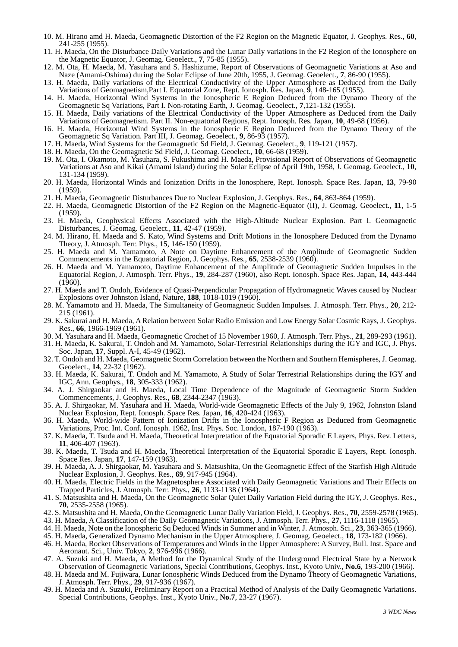- 10. M. Hirano amd H. Maeda, Geomagnetic Distortion of the F2 Region on the Magnetic Equator, J. Geophys. Res., **60**, 241-255 (1955).
- 11. H. Maeda, On the Disturbance Daily Variations and the Lunar Daily variations in the F2 Region of the Ionosphere on the Magnetic Equator, J. Geomag. Geoelect., **7**, 75-85 (1955).
- 12. M. Ota, H. Maeda, M. Yasuhara and S. Hashizume, Report of Observations of Geomagnetic Variations at Aso and Naze (Amami-Oshima) during the Solar Eclipse of June 20th, 1955, J. Geomag. Geoelect., **7**, 86-90 (1955).
- 13. H. Maeda, Daily variations of the Electrical Conductivity of the Upper Atmosphere as Deduced from the Daily Variations of Geomagnetism,Part I. Equatorial Zone, Rept. Ionosph. Res. Japan, **9**, 148-165 (1955).
- 14. H. Maeda, Horizontal Wind Systems in the Ionospheric E Region Deduced from the Dynamo Theory of the Geomagnetic Sq Variations, Part I. Non-rotating Earth, J. Geomag. Geoelect., **7**,121-132 (1955).
- 15. H. Maeda, Daily variations of the Electrical Conductivity of the Upper Atmosphere as Deduced from the Daily Variations of Geomagnetism. Part II. Non-equatorial Regions, Rept. Ionosph. Res. Japan, **10**, 49-68 (1956).
- 16. H. Maeda, Horizontal Wind Systems in the Ionospheric E Region Deduced from the Dynamo Theory of the Geomagnetic Sq Variation. Part III, J. Geomag. Geoelect., **9**, 86-93 (1957).
- 17. H. Maeda, Wind Systems for the Geomagnetic Sd Field, J. Geomag. Geoelect., **9**, 119-121 (1957).
- 18. H. Maeda, On the Geomagnetic Sd Field, J. Geomag. Geoelect., **10**, 66-68 (1959).
- 19. M. Ota, I. Okamoto, M. Yasuhara, S. Fukushima and H. Maeda, Provisional Report of Observations of Geomagnetic Variations at Aso and Kikai (Amami Island) during the Solar Eclipse of April 19th, 1958, J. Geomag. Geoelect., **10**, 131-134 (1959).
- 20. H. Maeda, Horizontal Winds and Ionization Drifts in the Ionosphere, Rept. Ionosph. Space Res. Japan, **13**, 79-90 (1959).
- 21. H. Maeda, Geomagnetic Disturbances Due to Nuclear Explosion, J. Geophys. Res., **64**, 863-864 (1959).
- 22. H. Maeda, Geomagnetic Distortion of the F2 Region on the Magnetic-Equator (II), J. Geomag. Geoelect., **11**, 1-5 (1959).
- 23. H. Maeda, Geophysical Effects Associated with the High-Altitude Nuclear Explosion. Part I. Geomagnetic Disturbances, J. Geomag. Geoelect., **11**, 42-47 (1959).
- 24. M. Hirano, H. Maeda and S. Kato, Wind Systems and Drift Motions in the Ionosphere Deduced from the Dynamo Theory, J. Atmosph. Terr. Phys., **15**, 146-150 (1959).
- 25. H. Maeda and M. Yamamoto, A Note on Daytime Enhancement of the Amplitude of Geomagnetic Sudden Commencements in the Equatorial Region, J. Geophys. Res., **65**, 2538-2539 (1960).
- 26. H. Maeda and M. Yamamoto, Daytime Enhancement of the Amplitude of Geomagnetic Sudden Impulses in the Equatorial Region, J. Atmosph. Terr. Phys., **19**, 284-287 (1960), also Rept. Ionosph. Space Res. Japan, **14**, 443-444  $(1960)$ .
- 27. H. Maeda and T. Ondoh, Evidence of Quasi-Perpendicular Propagation of Hydromagnetic Waves caused by Nuclear Explosions over Johnston Island, Nature, **188**, 1018-1019 (1960).
- 28. M. Yamamoto and H. Maeda, The Simultaneity of Geomagnetic Sudden Impulses. J. Atmosph. Terr. Phys., **20**, 212- 215 (1961).
- 29. K. Sakurai and H. Maeda, A Relation between Solar Radio Emission and Low Energy Solar Cosmic Rays, J. Geophys. Res., **66**, 1966-1969 (1961).
- 30. M. Yasuhara and H. Maeda, Geomagnetic Crochet of 15 November 1960, J. Atmosph. Terr. Phys., **21**, 289-293 (1961).
- 31. H. Maeda, K. Sakurai, T. Ondoh and M. Yamamoto, Solar-Terrestrial Relationships during the IGY and IGC, J. Phys. Soc. Japan, **17**, Suppl. A-I, 45-49 (1962).
- 32. T. Ondoh and H. Maeda, Geomagnetic Storm Correlation between the Northern and Southern Hemispheres, J. Geomag. Geoelect., **14**, 22-32 (1962).
- 33. H. Maeda, K. Sakurai, T. Ondoh and M. Yamamoto, A Study of Solar Terrestrial Relationships during the IGY and IGC, Ann. Geophys., **18**, 305-333 (1962).
- 34. A. J. Shirgaokar and H. Maeda, Local Time Dependence of the Magnitude of Geomagnetic Storm Sudden Commencements, J. Geophys. Res., **68**, 2344-2347 (1963).
- 35. A. J. Shirgaokar, M. Yasuhara and H. Maeda, World-wide Geomagnetic Effects of the July 9, 1962, Johnston Island Nuclear Explosion, Rept. Ionosph. Space Res. Japan, **16**, 420-424 (1963).
- 36. H. Maeda, World-wide Pattern of Ionization Drifts in the Ionospheric F Region as Deduced from Geomagnetic Variations, Proc. Int. Conf. Ionosph. 1962, Inst. Phys. Soc. London, 187-190 (1963).
- 37. K. Maeda, T. Tsuda and H. Maeda, Theoretical Interpretation of the Equatorial Sporadic E Layers, Phys. Rev. Letters, **11**, 406-407 (1963).
- 38. K. Maeda, T. Tsuda and H. Maeda, Theoretical Interpretation of the Equatorial Sporadic E Layers, Rept. Ionosph. Space Res. Japan, **17**, 147-159 (1963).
- 39. H. Maeda, A. J. Shirgaokar, M. Yasuhara and S. Matsushita, On the Geomagnetic Effect of the Starfish High Altitude Nuclear Explosion, J. Geophys. Res., **69**, 917-945 (1964).
- 40. H. Maeda, Electric Fields in the Magnetosphere Associated with Daily Geomagnetic Variations and Their Effects on Trapped Particles, J. Atmosph. Terr. Phys., **26**, 1133-1138 (1964).
- 41. S. Matsushita and H. Maeda, On the Geomagnetic Solar Quiet Daily Variation Field during the IGY, J. Geophys. Res., **70**, 2535-2558 (1965).
- 42. S. Matsushita and H. Maeda, On the Geomagnetic Lunar Daily Variation Field, J. Geophys. Res., **70**, 2559-2578 (1965).
- 43. H. Maeda, A Classification of the Daily Geomagnetic Variations, J. Atmosph. Terr. Phys., **27**, 1116-1118 (1965).
- 44. H. Maeda, Note on the Ionospheric Sq Deduced Winds in Summer and in Winter, J. Atmosph. Sci., **23**, 363-365 (1966).
- 45. H. Maeda, Generalized Dynamo Mechanism in the Upper Atmosphere, J. Geomag. Geoelect., **18**, 173-182 (1966).
- 46. H. Maeda, Rocket Observations of Temperatures and Winds in the Upper Atmosphere: A Survey, Bull. Inst. Space and Aeronaut. Sci., Univ. Tokyo, **2**, 976-996 (1966).
- 47. A. Suzuki and H. Maeda, A Method for the Dynamical Study of the Underground Electrical State by a Network Observation of Geomagnetic Variations, Special Contributions, Geophys. Inst., Kyoto Univ., **No.6**, 193-200 (1966).
- 48. H. Maeda and M. Fujiwara, Lunar Ionospheric Winds Deduced from the Dynamo Theory of Geomagnetic Variations, J. Atmosph. Terr. Phys., **29**, 917-936 (1967).
- 49. H. Maeda and A. Suzuki, Preliminary Report on a Practical Method of Analysis of the Daily Geomagnetic Variations. Special Contributions, Geophys. Inst., Kyoto Univ., **No.7**, 23-27 (1967).